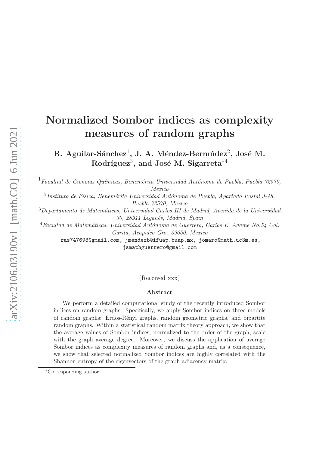# Normalized Sombor indices as complexity measures of random graphs

 $R.$  Aguilar-Sánchez<sup>1</sup>, J. A. Méndez-Bermúdez<sup>2</sup>, José M.  ${\rm Rodriguez}^3,$  and José M. Sigarreta $^{*4}$ 

 $1_{Facultad}$  de Ciencias Químicas, Benemérita Universidad Autónoma de Puebla, Puebla 72570, Mexico

 $^{2}$ Instituto de Física, Benemérita Universidad Autónoma de Puebla, Apartado Postal J- $48$ , Puebla 72570, Mexico

 $3$ Departamento de Matemáticas, Universidad Carlos III de Madrid, Avenida de la Universidad 30, 28911 Leganés, Madrid, Spain

 $4$ Facultad de Matemáticas, Universidad Autónoma de Guerrero, Carlos E. Adame No.54 Col. Garita, Acapulco Gro. 39650, Mexico

ras747698@gmail.com, jmendezb@ifuap.buap.mx, jomaro@math.uc3m.es, jsmathguerrero@gmail.com

(Received xxx)

#### Abstract

We perform a detailed computational study of the recently introduced Sombor indices on random graphs. Specifically, we apply Sombor indices on three models of random graphs: Erdös-Rényi graphs, random geometric graphs, and bipartite random graphs. Within a statistical random matrix theory approach, we show that the average values of Sombor indices, normalized to the order of the graph, scale with the graph average degree. Moreover, we discuss the application of average Sombor indices as complexity measures of random graphs and, as a consequence, we show that selected normalized Sombor indices are highly correlated with the Shannon entropy of the eigenvectors of the graph adjacency matrix.

<sup>∗</sup>Corresponding author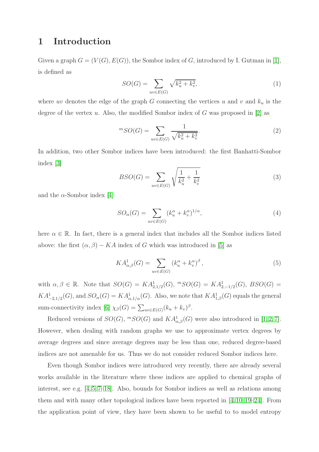### 1 Introduction

Given a graph  $G = (V(G), E(G))$ , the Sombor index of G, introduced by I. Gutman in [\[1\]](#page-17-0), is defined as

<span id="page-1-0"></span>
$$
SO(G) = \sum_{uv \in E(G)} \sqrt{k_u^2 + k_v^2},
$$
\n(1)

where  $uv$  denotes the edge of the graph G connecting the vertices u and v and  $k_u$  is the degree of the vertex u. Also, the modified Sombor index of G was proposed in  $[2]$  as

$$
{}^{m}SO(G) = \sum_{uv \in E(G)} \frac{1}{\sqrt{k_u^2 + k_v^2}}.
$$
\n(2)

In addition, two other Sombor indices have been introduced: the first Banhatti-Sombor index [\[3\]](#page-18-0)

$$
BSO(G) = \sum_{uv \in E(G)} \sqrt{\frac{1}{k_u^2} + \frac{1}{k_v^2}}
$$
 (3)

and the  $\alpha$ -Sombor index [\[4\]](#page-18-1)

$$
SO_{\alpha}(G) = \sum_{uv \in E(G)} (k_u^{\alpha} + k_v^{\alpha})^{1/\alpha},\tag{4}
$$

here  $\alpha \in \mathbb{R}$ . In fact, there is a general index that includes all the Sombor indices listed above: the first  $(\alpha, \beta) - KA$  index of G which was introduced in [\[5\]](#page-18-2) as

<span id="page-1-1"></span>
$$
KA_{\alpha,\beta}^{1}(G) = \sum_{uv \in E(G)} \left(k_{u}^{\alpha} + k_{v}^{\alpha}\right)^{\beta},\tag{5}
$$

with  $\alpha, \beta \in \mathbb{R}$ . Note that  $SO(G) = KA_{2,1/2}^1(G)$ ,  ${}^mSO(G) = KA_{2,-1/2}^1(G)$ ,  $BSO(G) =$  $KA^1_{-2,1/2}(G)$ , and  $SO_\alpha(G) = KA^1_{\alpha,1/\alpha}(G)$ . Also, we note that  $KA^1_{1,\beta}(G)$  equals the general sum-connectivity index [\[6\]](#page-18-3)  $\chi_{\beta}(G) = \sum_{uv \in E(G)} (k_u + k_v)^{\beta}$ .

Reduced versions of  $SO(G)$ ,  ${}^mSO(G)$  and  $KA_{\alpha,\beta}^1(G)$  were also introduced in [\[1,](#page-17-0)2,7]. However, when dealing with random graphs we use to approximate vertex degrees by average degrees and since average degrees may be less than one, reduced degree-based indices are not amenable for us. Thus we do not consider reduced Sombor indices here.

Even though Sombor indices were introduced very recently, there are already several works available in the literature where these indices are applied to chemical graphs of interest, see e.g. [\[4,](#page-18-1) [5,](#page-18-2) [7](#page-18-4)[–18\]](#page-19-0). Also, bounds for Sombor indices as well as relations among them and with many other topological indices have been reported in  $[4, 10, 19-24]$  $[4, 10, 19-24]$  $[4, 10, 19-24]$  $[4, 10, 19-24]$ . From the application point of view, they have been shown to be useful to to model entropy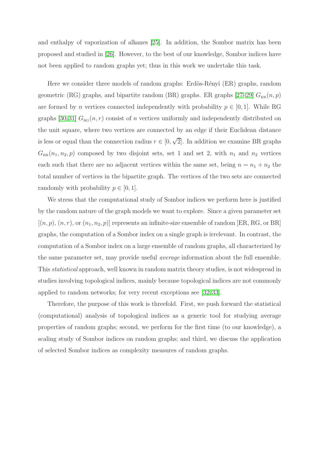and enthalpy of vaporization of alkanes [\[25\]](#page-19-3). In addition, the Sombor matrix has been proposed and studied in [\[26\]](#page-19-4). However, to the best of our knowledge, Sombor indices have not been applied to random graphs yet; thus in this work we undertake this task.

Here we consider three models of random graphs: Erdös-Rényi (ER) graphs, random geometric (RG) graphs, and bipartite random (BR) graphs. ER graphs [\[27–](#page-19-5)[29\]](#page-20-0)  $G_{\text{ER}}(n, p)$ are formed by *n* vertices connected independently with probability  $p \in [0, 1]$ . While RG graphs [\[30,](#page-20-1)[31\]](#page-20-2)  $G_{\text{RG}}(n, r)$  consist of n vertices uniformly and independently distributed on the unit square, where two vertices are connected by an edge if their Euclidean distance is less or equal than the connection radius  $r \in [0, \sqrt{2}]$ . In addition we examine BR graphs  $G_{BR}(n_1, n_2, p)$  composed by two disjoint sets, set 1 and set 2, with  $n_1$  and  $n_2$  vertices each such that there are no adjacent vertices within the same set, being  $n = n_1 + n_2$  the total number of vertices in the bipartite graph. The vertices of the two sets are connected randomly with probability  $p \in [0, 1]$ .

We stress that the computational study of Sombor indices we perform here is justified by the random nature of the graph models we want to explore. Since a given parameter set  $[(n, p), (n, r), \text{or } (n_1, n_2, p)]$  represents an infinite-size ensemble of random [ER, RG, or BR] graphs, the computation of a Sombor index on a single graph is irrelevant. In contrast, the computation of a Sombor index on a large ensemble of random graphs, all characterized by the same parameter set, may provide useful average information about the full ensemble. This statistical approach, well known in random matrix theory studies, is not widespread in studies involving topological indices, mainly because topological indices are not commonly applied to random networks; for very recent exceptions see [\[32,](#page-20-3) [33\]](#page-20-4).

Therefore, the purpose of this work is threefold. First, we push forward the statistical (computational) analysis of topological indices as a generic tool for studying average properties of random graphs; second, we perform for the first time (to our knowledge), a scaling study of Sombor indices on random graphs; and third, we discuss the application of selected Sombor indices as complexity measures of random graphs.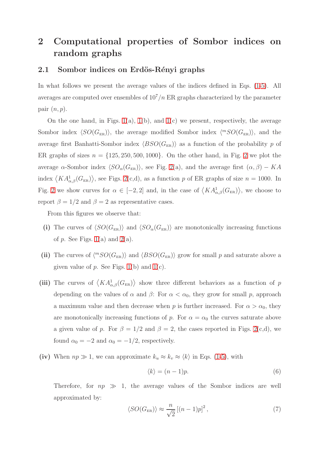## 2 Computational properties of Sombor indices on random graphs

#### 2.1 Sombor indices on Erdös-Rényi graphs

In what follows we present the average values of the indices defined in Eqs. [\(1](#page-1-0)[-5\)](#page-1-1). All averages are computed over ensembles of  $10^7/n$  ER graphs characterized by the parameter pair  $(n, p)$ .

On the one hand, in Figs.  $1(a)$ ,  $1(b)$ , and  $1(c)$  we present, respectively, the average Sombor index  $\langle SO(G_{ER})\rangle$ , the average modified Sombor index  $\langle {}^{m}SO(G_{ER})\rangle$ , and the average first Banhatti-Sombor index  $\langle BSO(G_{ER})\rangle$  as a function of the probability p of ER graphs of sizes  $n = \{125, 250, 500, 1000\}$  $n = \{125, 250, 500, 1000\}$  $n = \{125, 250, 500, 1000\}$ . On the other hand, in Fig. 2 we plot the average  $\alpha$ -Sombor index  $\langle SO_{\alpha}(G_{\text{ER}}) \rangle$ , see Fig. [2\(](#page-6-0)a), and the average first  $(\alpha, \beta) - KA$ index  $\langle KA_{\alpha,\beta}^1(G_{\text{ER}})\rangle$ , see Figs. [2\(](#page-6-0)c,d), as a function p of ER graphs of size  $n = 1000$ . In Fig. [2](#page-6-0) we show curves for  $\alpha \in [-2,2]$  and, in the case of  $\langle K A_{\alpha,\beta}^1(G_{\text{ER}}) \rangle$ , we choose to report  $\beta = 1/2$  and  $\beta = 2$  as representative cases.

From this figures we observe that:

- (i) The curves of  $\langle SO(G_{ER})\rangle$  and  $\langle SO_{\alpha}(G_{ER})\rangle$  are monotonically increasing functions of  $p$ . See Figs. [1\(](#page-5-0)a) and [2\(](#page-6-0)a).
- (ii) The curves of  $\langle{}^mSO(G_{\text{ER}})\rangle$  and  $\langle BSO(G_{\text{ER}})\rangle$  grow for small p and saturate above a given value of  $p$ . See Figs. [1\(](#page-5-0)b) and 1(c).
- (iii) The curves of  $\langle K A_{\alpha,\beta}^1(G_{\text{ER}}) \rangle$  show three different behaviors as a function of p depending on the values of  $\alpha$  and  $\beta$ : For  $\alpha < \alpha_0$ , they grow for small p, approach a maximum value and then decrease when p is further increased. For  $\alpha > \alpha_0$ , they are monotonically increasing functions of p. For  $\alpha = \alpha_0$  the curves saturate above a given value of p. For  $\beta = 1/2$  and  $\beta = 2$ , the cases reported in Figs. [2\(](#page-6-0)c,d), we found  $\alpha_0 = -2$  and  $\alpha_0 = -1/2$ , respectively.
- (iv) When  $np \gg 1$ , we can approximate  $k_u \approx k_v \approx \langle k \rangle$  in Eqs. [\(1](#page-1-0)[-5\)](#page-1-1), with

<span id="page-3-1"></span>
$$
\langle k \rangle = (n-1)p. \tag{6}
$$

Therefore, for  $np \gg 1$ , the average values of the Sombor indices are well approximated by:

<span id="page-3-0"></span>
$$
\langle SO(G_{\text{ER}}) \rangle \approx \frac{n}{\sqrt{2}} \left[ (n-1)p \right]^2, \tag{7}
$$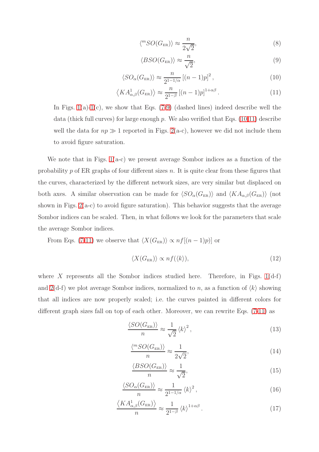<span id="page-4-3"></span>
$$
\langle {}^{m}SO(G_{\text{ER}}) \rangle \approx \frac{n}{2\sqrt{2}},\tag{8}
$$

<span id="page-4-0"></span>
$$
\langle BSO(G_{\text{ER}}) \rangle \approx \frac{n}{\sqrt{2}},\tag{9}
$$

<span id="page-4-1"></span>
$$
\langle SO_{\alpha}(G_{\text{ER}}) \rangle \approx \frac{n}{2^{1-1/\alpha}} \left[ (n-1)p \right]^2, \tag{10}
$$

<span id="page-4-2"></span>
$$
\left\langle KA_{\alpha,\beta}^{1}(G_{\text{ER}})\right\rangle \approx \frac{n}{2^{1-\beta}}\left[(n-1)p\right]^{1+\alpha\beta}.\tag{11}
$$

In Figs.  $1(a)-1(c)$  $1(a)-1(c)$  $1(a)-1(c)$ , we show that Eqs. [\(7](#page-3-0)[-9\)](#page-4-0) (dashed lines) indeed describe well the data (thick full curves) for large enough  $p$ . We also verified that Eqs. [\(10,](#page-4-1)[11\)](#page-4-2) describe well the data for  $np \gg 1$  reported in Figs. [2\(](#page-6-0)a-c), however we did not include them to avoid figure saturation.

We note that in Figs.  $1(a-c)$  we present average Sombor indices as a function of the probability  $p$  of ER graphs of four different sizes  $n$ . It is quite clear from these figures that the curves, characterized by the different network sizes, are very similar but displaced on both axes. A similar observation can be made for  $\langle SO_\alpha(G_{\text{\tiny ER}})\rangle$  and  $\langle KA_{\alpha,\beta}(G_{\text{\tiny ER}})\rangle$  (not shown in Figs.  $2(a-c)$  to avoid figure saturation). This behavior suggests that the average Sombor indices can be scaled. Then, in what follows we look for the parameters that scale the average Sombor indices.

From Eqs. [\(7-](#page-3-0)[11\)](#page-4-2) we observe that  $\langle X(G_{\text{ER}}) \rangle \propto nf[(n-1)p)]$  or

<span id="page-4-9"></span>
$$
\langle X(G_{\text{ER}}) \rangle \propto nf(\langle k \rangle),\tag{12}
$$

where X represents all the Sombor indices studied here. Therefore, in Figs.  $1(d-f)$ and  $2(d-f)$  we plot average Sombor indices, normalized to n, as a function of  $\langle k \rangle$  showing that all indices are now properly scaled; i.e. the curves painted in different colors for different graph sizes fall on top of each other. Moreover, we can rewrite Eqs. [\(7-](#page-3-0)[11\)](#page-4-2) as

<span id="page-4-4"></span>
$$
\frac{\langle SO(G_{\text{ER}}) \rangle}{n} \approx \frac{1}{\sqrt{2}} \left\langle k \right\rangle^2,\tag{13}
$$

<span id="page-4-5"></span>
$$
\frac{\langle {}^{m}SO(G_{\text{ER}})\rangle}{n} \approx \frac{1}{2\sqrt{2}},\tag{14}
$$

<span id="page-4-6"></span>
$$
\frac{\langle BSO(G_{\text{ER}}) \rangle}{n} \approx \frac{1}{\sqrt{2}},\tag{15}
$$

<span id="page-4-7"></span>
$$
\frac{\langle SO_{\alpha}(G_{\text{ER}})\rangle}{n} \approx \frac{1}{2^{1-1/\alpha}} \langle k \rangle^2, \qquad (16)
$$

<span id="page-4-8"></span>
$$
\frac{\langle KA_{\alpha,\beta}^1(G_{\text{ER}})\rangle}{n} \approx \frac{1}{2^{1-\beta}} \langle k \rangle^{1+\alpha\beta}.
$$
 (17)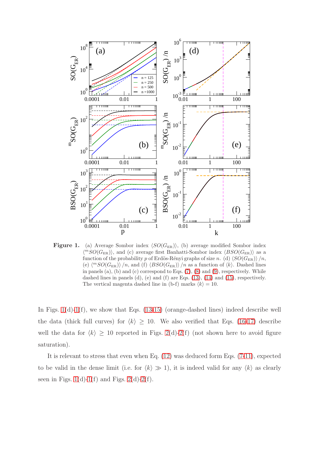<span id="page-5-0"></span>

Figure 1. (a) Average Sombor index  $\langle SO(G_{ER})\rangle$ , (b) average modified Sombor index  $\langle {}^{m}SO(G_{\text{ER}})\rangle$ , and (c) average first Banhatti-Sombor index  $\langle BSO(G_{\text{ER}})\rangle$  as a function of the probability p of Erdös-Rényi graphs of size n. (d)  $\langle SO(G_{\rm ER}) \rangle /n$ , (e)  $\langle {}^{m}SO(G_{\rm ER})\rangle/n$ , and (f)  $\langle BSO(G_{\rm ER})\rangle/n$  as a function of  $\langle k\rangle$ . Dashed lines in panels  $(a)$ ,  $(b)$  and  $(c)$  correspond to Eqs.  $(7)$ ,  $(8)$  and  $(9)$ , respectively. While dashed lines in panels (d), (e) and (f) are Eqs. [\(13\)](#page-4-4), [\(14\)](#page-4-5) and [\(15\)](#page-4-6), respectively. The vertical magenta dashed line in (b-f) marks  $\langle k \rangle = 10$ .

In Figs.  $1(d)-1(f)$  $1(d)-1(f)$  $1(d)-1(f)$ , we show that Eqs. [\(13](#page-4-4)[-15\)](#page-4-6) (orange-dashed lines) indeed describe well the data (thick full curves) for  $\langle k \rangle \ge 10$ . We also verified that Eqs. [\(16-](#page-4-7)[17\)](#page-4-8) describe well the data for  $\langle k \rangle \ge 10$  reported in Figs. [2\(](#page-6-0)d)[-2\(](#page-6-0)f) (not shown here to avoid figure saturation).

It is relevant to stress that even when Eq. [\(12\)](#page-4-9) was deduced form Eqs. [\(7-](#page-3-0)[11\)](#page-4-2), expected to be valid in the dense limit (i.e. for  $\langle k \rangle \gg 1$ ), it is indeed valid for any  $\langle k \rangle$  as clearly seen in Figs.  $1(d)-1(f)$  $1(d)-1(f)$  $1(d)-1(f)$  and Figs.  $2(d)-2(f)$  $2(d)-2(f)$  $2(d)-2(f)$ .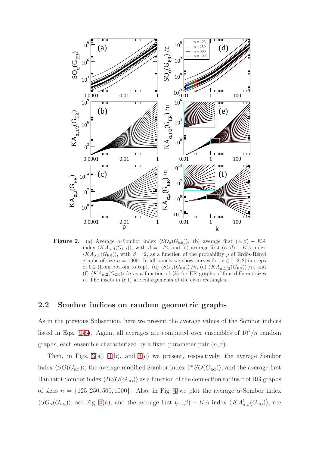<span id="page-6-0"></span>

Figure 2. (a) Average  $\alpha$ -Sombor index  $\langle SO_{\alpha}(G_{\text{ER}})\rangle$ , (b) average first  $(\alpha, \beta) - KA$ index  $\langle K A_{\alpha,\beta}(G_{\text{ER}})\rangle$ , with  $\beta = 1/2$ , and (c) average first  $(\alpha, \beta) - KA$  index  $\langle K A_{\alpha,\beta}(G_{\text{ER}}) \rangle$ , with  $\beta = 2$ , as a function of the probability p of Erdös-Rényi graphs of size  $n = 1000$ . In all panels we show curves for  $\alpha \in [-2, 2]$  in steps of 0.2 (from bottom to top). (d)  $\langle SO_{\alpha}(G_{\text{ER}}) \rangle /n$ , (e)  $\langle KA_{\alpha,1/2}(G_{\text{ER}}) \rangle /n$ , and (f)  $\langle KA_{\alpha,2}(G_{\text{ER}})\rangle/n$  as a function of  $\langle k \rangle$  for ER graphs of four different sizes n. The insets in (e,f) are enlargements of the cyan rectangles.

### <span id="page-6-1"></span>2.2 Sombor indices on random geometric graphs

As in the previous Subsection, here we present the average values of the Sombor indices listed in Eqs. [\(1](#page-1-0)[-5\)](#page-1-1). Again, all averages are computed over ensembles of  $10^7/n$  random graphs, each ensemble characterized by a fixed parameter pair  $(n, r)$ .

Then, in Figs. [3\(](#page-7-0)a), [3\(](#page-7-0)b), and [3\(](#page-7-0)c) we present, respectively, the average Sombor index  $\langle SO(G_{\text{RG}}) \rangle$ , the average modified Sombor index  $\langle {}^{m}SO(G_{\text{RG}}) \rangle$ , and the average first Banhatti-Sombor index  $\langle BSO(G_{\text{RG}})\rangle$  as a function of the connection radius r of RG graphs of sizes  $n = \{125, 250, 500, 1000\}$ . Also, in Fig. [4](#page-8-0) we plot the average  $\alpha$ -Sombor index  $\langle SO_{\alpha}(G_{\text{RG}})\rangle$ , see Fig. [4\(](#page-8-0)a), and the average first  $(\alpha, \beta) - KA$  index  $\langle KA_{\alpha,\beta}^{1}(G_{\text{RG}})\rangle$ , see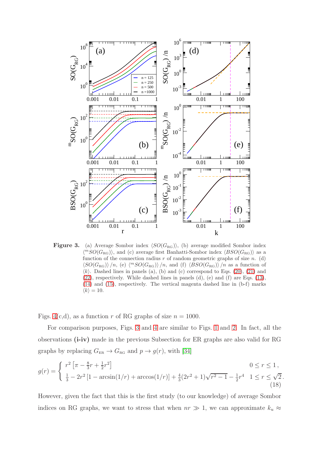<span id="page-7-0"></span>

Figure 3. (a) Average Sombor index  $\langle SO(G_{\text{RG}}) \rangle$ , (b) average modified Sombor index  $\langle {}^{m}SO(G_{\rm RG})\rangle$ , and (c) average first Banhatti-Sombor index  $\langle BSO(G_{\rm RG})\rangle$  as a function of the connection radius  $r$  of random geometric graphs of size  $n$ . (d)  $\langle SO(G_{\rm RG})\rangle/n$ , (e)  $\langle {}^mSO(G_{\rm RG})\rangle/n$ , and (f)  $\langle BSO(G_{\rm RG})\rangle/n$  as a function of  $\langle k \rangle$ . Dashed lines in panels (a), (b) and (c) correspond to Eqs. [\(20\)](#page-8-1), [\(21\)](#page-8-2) and [\(22\)](#page-8-3), respectively. While dashed lines in panels (d), (e) and (f) are Eqs. [\(13\)](#page-4-4), [\(14\)](#page-4-5) and [\(15\)](#page-4-6), respectively. The vertical magenta dashed line in (b-f) marks  $\langle k \rangle = 10.$ 

Figs. [4\(](#page-8-0)c,d), as a function r of RG graphs of size  $n = 1000$ .

For comparison purposes, Figs. [3](#page-7-0) and [4](#page-8-0) are similar to Figs. [1](#page-5-0) and [2.](#page-6-0) In fact, all the observations (i-iv) made in the previous Subsection for ER graphs are also valid for RG graphs by replacing  $G_{\text{ER}} \to G_{\text{RG}}$  and  $p \to g(r)$ , with [\[34\]](#page-20-5)

$$
g(r) = \begin{cases} r^2 \left[ \pi - \frac{8}{3}r + \frac{1}{2}r^2 \right] & 0 \le r \le 1, \\ \frac{1}{3} - 2r^2 \left[ 1 - \arcsin(1/r) + \arccos(1/r) \right] + \frac{4}{3}(2r^2 + 1)\sqrt{r^2 - 1} - \frac{1}{2}r^4 & 1 \le r \le \sqrt{2}. \end{cases}
$$
\n(18)

However, given the fact that this is the first study (to our knowledge) of average Sombor indices on RG graphs, we want to stress that when  $nr \gg 1$ , we can approximate  $k_u \approx$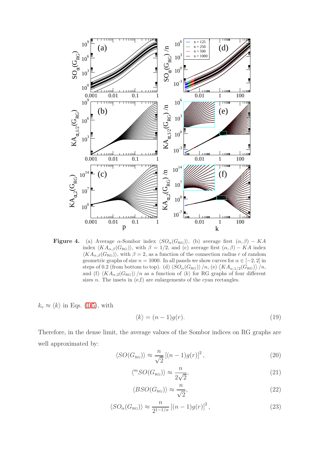<span id="page-8-0"></span>

**Figure 4.** (a) Average  $\alpha$ -Sombor index  $\langle SO_{\alpha}(G_{\text{RG}})\rangle$ , (b) average first  $(\alpha, \beta) - KA$ index  $\langle K A_{\alpha,\beta}(G_{\text{RG}})\rangle$ , with  $\beta = 1/2$ , and (c) average first  $(\alpha, \beta) - KA$  index  $\langle K A_{\alpha,\beta}(G_{\text{RG}})\rangle$ , with  $\beta = 2$ , as a function of the connection radius r of random geometric graphs of size  $n = 1000$ . In all panels we show curves for  $\alpha \in [-2, 2]$  in steps of 0.2 (from bottom to top). (d)  $\langle SO_{\alpha}(G_{\text{RG}}) \rangle/n$ , (e)  $\langle KA_{\alpha,1/2}(G_{\text{RG}}) \rangle/n$ , and (f)  $\langle K A_{\alpha,2}(G_{\text{RG}})\rangle /n$  as a function of  $\langle k \rangle$  for RG graphs of four different sizes *n*. The insets in  $(e,f)$  are enlargements of the cyan rectangles.

 $k_v \approx \langle k \rangle$  in Eqs. [\(1-](#page-1-0)[5\)](#page-1-1), with

<span id="page-8-5"></span>
$$
\langle k \rangle = (n-1)g(r). \tag{19}
$$

Therefore, in the dense limit, the average values of the Sombor indices on RG graphs are well approximated by:

<span id="page-8-1"></span>
$$
\langle SO(G_{\text{RG}}) \rangle \approx \frac{n}{\sqrt{2}} \left[ (n-1)g(r) \right]^2, \tag{20}
$$

<span id="page-8-2"></span>
$$
\langle {}^{m}SO(G_{\text{RG}})\rangle \approx \frac{n}{2\sqrt{2}},\tag{21}
$$

<span id="page-8-3"></span>
$$
\langle BSO(G_{\text{RG}}) \rangle \approx \frac{n}{\sqrt{2}},\tag{22}
$$

<span id="page-8-4"></span>
$$
\langle SO_{\alpha}(G_{\text{RG}}) \rangle \approx \frac{n}{2^{1-1/\alpha}} \left[ (n-1)g(r) \right]^2, \tag{23}
$$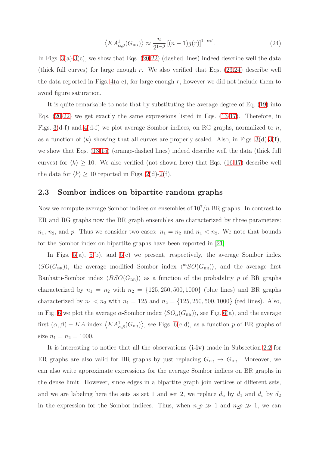<span id="page-9-0"></span>
$$
\left\langle KA_{\alpha,\beta}^{1}(G_{\text{RG}})\right\rangle \approx \frac{n}{2^{1-\beta}}\left[(n-1)g(r)\right]^{1+\alpha\beta}.\tag{24}
$$

In Figs.  $3(a)-3(c)$  $3(a)-3(c)$  $3(a)-3(c)$ , we show that Eqs.  $(20-22)$  $(20-22)$  (dashed lines) indeed describe well the data (thick full curves) for large enough r. We also verified that Eqs.  $(23,24)$  $(23,24)$  describe well the data reported in Figs.  $4(a-c)$ , for large enough r, however we did not include them to avoid figure saturation.

It is quite remarkable to note that by substituting the average degree of Eq. [\(19\)](#page-8-5) into Eqs. [\(20](#page-8-1)[-22\)](#page-8-3) we get exactly the same expressions listed in Eqs. [\(13-](#page-4-4)[17\)](#page-4-8). Therefore, in Figs. [3\(](#page-7-0)d-f) and [4\(](#page-8-0)d-f) we plot average Sombor indices, on RG graphs, normalized to n, as a function of  $\langle k \rangle$  showing that all curves are properly scaled. Also, in Figs. [3\(](#page-7-0)d)[-3\(](#page-7-0)f), we show that Eqs. [\(13-](#page-4-4)[15\)](#page-4-6) (orange-dashed lines) indeed describe well the data (thick full curves) for  $\langle k \rangle \ge 10$ . We also verified (not shown here) that Eqs. [\(16-](#page-4-7)[17\)](#page-4-8) describe well the data for  $\langle k \rangle \ge 10$  reported in Figs. [2\(](#page-6-0)d)[-2\(](#page-6-0)f).

#### 2.3 Sombor indices on bipartite random graphs

Now we compute average Sombor indices on ensembles of  $10^7/n$  BR graphs. In contrast to ER and RG graphs now the BR graph ensembles are characterized by three parameters:  $n_1$ ,  $n_2$ , and p. Thus we consider two cases:  $n_1 = n_2$  and  $n_1 < n_2$ . We note that bounds for the Sombor index on bipartite graphs have been reported in [\[21\]](#page-19-6).

In Figs.  $5(a)$ ,  $5(b)$ , and  $5(c)$  we present, respectively, the average Sombor index  $\langle SO(G_{BR})\rangle$ , the average modified Sombor index  $\langle {}^{m}SO(G_{BR})\rangle$ , and the average first Banhatti-Sombor index  $\langle BSO(G_{BR})\rangle$  as a function of the probability p of BR graphs characterized by  $n_1 = n_2$  with  $n_2 = \{125, 250, 500, 1000\}$  (blue lines) and BR graphs characterized by  $n_1 < n_2$  with  $n_1 = 125$  and  $n_2 = \{125, 250, 500, 1000\}$  (red lines). Also, in Fig. [6](#page-12-0) we plot the average  $\alpha$ -Sombor index  $\langle SO_{\alpha}(G_{BR})\rangle$ , see Fig. [6\(](#page-12-0)a), and the average first  $(\alpha, \beta) - KA$  index  $\langle KA_{\alpha,\beta}^1(G_{BR})\rangle$ , see Figs. [6\(](#page-12-0)c,d), as a function p of BR graphs of size  $n_1 = n_2 = 1000$ .

It is interesting to notice that all the observations (i-iv) made in Subsection [2.2](#page-6-1) for ER graphs are also valid for BR graphs by just replacing  $G_{ER} \to G_{BR}$ . Moreover, we can also write approximate expressions for the average Sombor indices on BR graphs in the dense limit. However, since edges in a bipartite graph join vertices of different sets, and we are labeling here the sets as set 1 and set 2, we replace  $d_u$  by  $d_1$  and  $d_v$  by  $d_2$ in the expression for the Sombor indices. Thus, when  $n_1p \gg 1$  and  $n_2p \gg 1$ , we can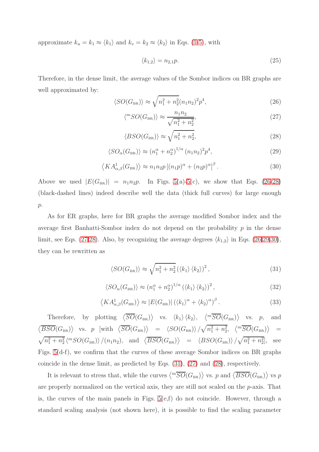approximate  $k_u = k_1 \approx \langle k_1 \rangle$  and  $k_v = k_2 \approx \langle k_2 \rangle$  in Eqs. [\(1-](#page-1-0)[5\)](#page-1-1), with

<span id="page-10-6"></span>
$$
\langle k_{1,2}\rangle = n_{2,1}p.\tag{25}
$$

Therefore, in the dense limit, the average values of the Sombor indices on BR graphs are well approximated by:

<span id="page-10-0"></span>
$$
\langle SO(G_{\text{BR}}) \rangle \approx \sqrt{n_1^2 + n_2^2} (n_1 n_2)^2 p^4,\tag{26}
$$

<span id="page-10-2"></span>
$$
\langle {}^{m}SO(G_{\text{BR}}) \rangle \approx \frac{n_1 n_2}{\sqrt{n_1^2 + n_2^2}},\tag{27}
$$

<span id="page-10-1"></span>
$$
\langle BSO(G_{\rm BR}) \rangle \approx \sqrt{n_1^2 + n_2^2},\tag{28}
$$

<span id="page-10-3"></span>
$$
\langle SO_{\alpha}(G_{\text{BR}}) \rangle \approx (n_1^{\alpha} + n_2^{\alpha})^{1/\alpha} (n_1 n_2)^2 p^4, \tag{29}
$$

<span id="page-10-4"></span>
$$
\left\langle KA_{\alpha,\beta}^1(G_{\text{BR}})\right\rangle \approx n_1 n_2 p \left[ (n_1 p)^{\alpha} + (n_2 p)^{\alpha} \right]^{\beta}.
$$
 (30)

Above we used  $|E(G_{BR})| = n_1 n_2 p$ . In Figs. [5\(](#page-11-0)a)[-5\(](#page-11-0)c), we show that Eqs. [\(26](#page-10-0)[-28\)](#page-10-1) (black-dashed lines) indeed describe well the data (thick full curves) for large enough  $p$ .

As for ER graphs, here for BR graphs the average modified Sombor index and the average first Banhatti-Sombor index do not depend on the probability  $p$  in the dense limit, see Eqs. [\(27](#page-10-2)[,28\)](#page-10-1). Also, by recognizing the average degrees  $\langle k_{1,2} \rangle$  in Eqs. [\(26,](#page-10-0)[29,](#page-10-3)[30\)](#page-10-4), they can be rewritten as

<span id="page-10-5"></span>
$$
\langle SO(G_{\text{BR}}) \rangle \approx \sqrt{n_1^2 + n_2^2} \left( \langle k_1 \rangle \langle k_2 \rangle \right)^2, \tag{31}
$$

$$
\langle SO_{\alpha}(G_{\text{BR}}) \rangle \approx (n_1^{\alpha} + n_2^{\alpha})^{1/\alpha} (\langle k_1 \rangle \langle k_2 \rangle)^2, \tag{32}
$$

$$
\left\langle K A_{\alpha,\beta}^1(G_{\text{BR}}) \right\rangle \approx |E(G_{\text{BR}})| \left( \left\langle k_1 \right\rangle^\alpha + \left\langle k_2 \right\rangle^\alpha \right)^\beta. \tag{33}
$$

Therefore, by plotting  $\langle \overline{SO}(G_{BR}) \rangle$  vs.  $\langle k_1 \rangle \langle k_2 \rangle$ ,  $\langle {}^{m}\overline{SO}(G_{BR}) \rangle$  vs. p, and  $\langle \overline{BSO}(G_{BR}) \rangle$  vs. p [with  $\langle \overline{SO}(G_{BR}) \rangle$  =  $\langle SO(G_{BR}) \rangle / \sqrt{n_1^2 + n_2^2}$ ,  $\langle {}^{m}\overline{SO}(G_{BR}) \rangle$  =  $\sqrt{n_1^2 + n_2^2} \langle {}^{m}SO(G_{BR}) \rangle / (n_1 n_2)$ , and  $\langle \overline{BSO}(G_{BR}) \rangle$  =  $\langle BSO(G_{BR}) \rangle / \sqrt{n_1^2 + n_2^2}$ , see Figs. [5\(](#page-11-0)d-f), we confirm that the curves of these average Sombor indices on BR graphs coincide in the dense limit, as predicted by Eqs. [\(31\)](#page-10-5), [\(27\)](#page-10-2) and [\(28\)](#page-10-1), respectively.

It is relevant to stress that, while the curves  $\langle{}^{m}\overline{SO}(G_{BR})\rangle$  vs. p and  $\langle\overline{BSO}(G_{BR})\rangle$  vs p are properly normalized on the vertical axis, they are still not scaled on the  $p$ -axis. That is, the curves of the main panels in Figs.  $5(e,f)$  do not coincide. However, through a standard scaling analysis (not shown here), it is possible to find the scaling parameter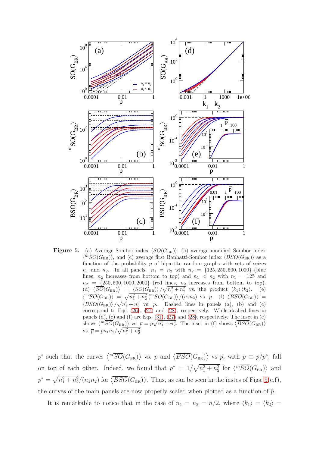<span id="page-11-0"></span>

**Figure 5.** (a) Average Sombor index  $\langle SO(G_{BR})\rangle$ , (b) average modified Sombor index  $\langle^m SO(G_{\rm BR})\rangle,$  and (c) average first Banhatti-Sombor index  $\langle BSO(G_{\rm BR})\rangle$  as a function of the probability  $p$  of bipartite random graphs with sets of seizes  $n_1$  and  $n_2$ . In all panels:  $n_1 = n_2$  with  $n_2 = \{125, 250, 500, 1000\}$  (blue lines,  $n_2$  increases from bottom to top) and  $n_1 < n_2$  with  $n_1 = 125$  and  $n_2 = \{250, 500, 1000, 2000\}$  (red lines,  $n_2$  increases from bottom to top). (d)  $\langle \overline{SO}(G_{BR}) \rangle = \langle SO(\overline{G}_{BR}) \rangle / \sqrt{n_1^2 + n_2^2}$  vs. the product  $\langle k_1 \rangle \langle k_2 \rangle$ . (e)  $\langle{}^{m}\overline{SO}(G_{\text{BR}})\rangle = \sqrt{n_1^2 + n_2^2} \langle{}^{m}SO(G_{\text{BR}})\rangle / (n_1n_2)$  vs. p. (f)  $\langle\overline{BSO}(G_{\text{BR}})\rangle =$  $\langle BSO(G_{BR})\rangle / \sqrt{n_1^2 + n_2^2}$  vs. p. Dashed lines in panels (a), (b) and (c) correspond to Eqs. [\(26\)](#page-10-0), [\(27\)](#page-10-2) and [\(28\)](#page-10-1), respectively. While dashed lines in panels (d), (e) and (f) are Eqs. [\(31\)](#page-10-5), [\(27\)](#page-10-2) and [\(28\)](#page-10-1), respectively. The inset in (e) shows  $\langle{}^{m}\overline{SO}(G_{\text{BR}})\rangle$  vs.  $\overline{p} = p\sqrt{n_1^2 + n_2^2}$ . The inset in (f) shows  $\langle\overline{BSO}(G_{\text{BR}})\rangle$ vs.  $\bar{p} = pn_1 n_2 / \sqrt{n_1^2 + n_2^2}$ .

p<sup>\*</sup> such that the curves  $\langle{}^{m}\overline{SO}(G_{BR})\rangle$  vs.  $\overline{p}$  and  $\langle\overline{BSO}(G_{BR})\rangle$  vs  $\overline{p}$ , with  $\overline{p} \equiv p/p^*$ , fall on top of each other. Indeed, we found that  $p^* = 1/\sqrt{n_1^2 + n_2^2}$  for  $\langle{}^{m}\overline{SO}(G_{BR})\rangle$  and  $p^* = \sqrt{n_1^2 + n_2^2}/(n_1 n_2)$  for  $\langle \overline{BSO}(G_{BR}) \rangle$ . Thus, as can be seen in the instes of Figs. [5\(](#page-11-0)e,f), the curves of the main panels are now properly scaled when plotted as a function of  $\bar{p}$ .

It is remarkable to notice that in the case of  $n_1 = n_2 = n/2$ , where  $\langle k_1 \rangle = \langle k_2 \rangle =$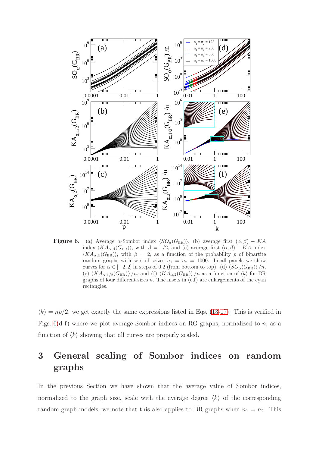<span id="page-12-0"></span>

**Figure 6.** (a) Average  $\alpha$ -Sombor index  $\langle SO_{\alpha}(G_{BR}) \rangle$ , (b) average first  $(\alpha, \beta) - KA$ index  $\langle K A_{\alpha,\beta}(G_{BR})\rangle$ , with  $\beta = 1/2$ , and (c) average first  $(\alpha, \beta) - KA$  index  $\langle K A_{\alpha,\beta}(G_{\text{BR}}) \rangle$ , with  $\beta = 2$ , as a function of the probability p of bipartite random graphs with sets of seizes  $n_1 = n_2 = 1000$ . In all panels we show curves for  $\alpha \in [-2, 2]$  in steps of 0.2 (from bottom to top). (d)  $\langle SO_{\alpha}(G_{BR}) \rangle /n$ , (e)  $\langle K A_{\alpha,1/2}(G_{BR})\rangle/n$ , and (f)  $\langle K A_{\alpha,2}(G_{BR})\rangle/n$  as a function of  $\langle k \rangle$  for BR graphs of four different sizes  $n$ . The insets in  $(e,f)$  are enlargements of the cyan rectangles.

 $\langle k \rangle = np/2$ , we get exactly the same expressions listed in Eqs. [\(13](#page-4-4)[-17\)](#page-4-8). This is verified in Figs. [6\(](#page-12-0)d-f) where we plot average Sombor indices on RG graphs, normalized to n, as a function of  $\langle k \rangle$  showing that all curves are properly scaled.

## 3 General scaling of Sombor indices on random graphs

In the previous Section we have shown that the average value of Sombor indices, normalized to the graph size, scale with the average degree  $\langle k \rangle$  of the corresponding random graph models; we note that this also applies to BR graphs when  $n_1 = n_2$ . This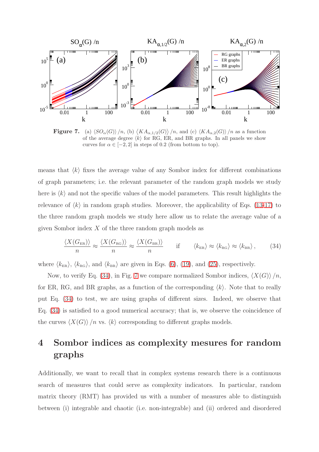<span id="page-13-1"></span>

**Figure 7.** (a)  $\langle SO_{\alpha}(G) \rangle /n$ , (b)  $\langle KA_{\alpha,1/2}(G) \rangle /n$ , and (c)  $\langle KA_{\alpha,2}(G) \rangle /n$  as a function of the average degree  $\langle k \rangle$  for RG, ER, and BR graphs. In all panels we show curves for  $\alpha \in [-2, 2]$  in steps of 0.2 (from bottom to top).

means that  $\langle k \rangle$  fixes the average value of any Sombor index for different combinations of graph parameters; i.e. the relevant parameter of the random graph models we study here is  $\langle k \rangle$  and not the specific values of the model parameters. This result highlights the relevance of  $\langle k \rangle$  in random graph studies. Moreover, the applicability of Eqs. [\(13-](#page-4-4)[17\)](#page-4-8) to the three random graph models we study here allow us to relate the average value of a given Sombor index  $X$  of the three random graph models as

<span id="page-13-0"></span>
$$
\frac{\langle X(G_{\text{ER}}) \rangle}{n} \approx \frac{\langle X(G_{\text{RG}}) \rangle}{n} \approx \frac{\langle X(G_{\text{BR}}) \rangle}{n} \quad \text{if} \quad \langle k_{\text{ER}} \rangle \approx \langle k_{\text{RG}} \rangle \approx \langle k_{\text{BR}} \rangle, \quad (34)
$$

where  $\langle k_{\text{ER}} \rangle$ ,  $\langle k_{\text{RG}} \rangle$ , and  $\langle k_{\text{BR}} \rangle$  are given in Eqs. [\(6\)](#page-3-1), [\(19\)](#page-8-5), and [\(25\)](#page-10-6), respectively.

Now, to verify Eq. [\(34\)](#page-13-0), in Fig. [7](#page-13-1) we compare normalized Sombor indices,  $\langle X(G) \rangle /n$ , for ER, RG, and BR graphs, as a function of the corresponding  $\langle k \rangle$ . Note that to really put Eq. [\(34\)](#page-13-0) to test, we are using graphs of different sizes. Indeed, we observe that Eq. [\(34\)](#page-13-0) is satisfied to a good numerical accuracy; that is, we observe the coincidence of the curves  $\langle X(G) \rangle$  /n vs.  $\langle k \rangle$  corresponding to different graphs models.

## 4 Sombor indices as complexity mesures for random graphs

Additionally, we want to recall that in complex systems research there is a continuous search of measures that could serve as complexity indicators. In particular, random matrix theory (RMT) has provided us with a number of measures able to distinguish between (i) integrable and chaotic (i.e. non-integrable) and (ii) ordered and disordered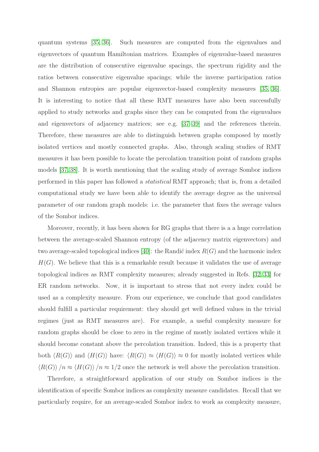quantum systems [\[35,](#page-20-6) [36\]](#page-20-7). Such measures are computed from the eigenvalues and eigenvectors of quantum Hamiltonian matrices. Examples of eigenvalue-based measures are the distribution of consecutive eigenvalue spacings, the spectrum rigidity and the ratios between consecutive eigenvalue spacings; while the inverse participation ratios and Shannon entropies are popular eigenvector-based complexity measures [\[35,](#page-20-6) [36\]](#page-20-7). It is interesting to notice that all these RMT measures have also been successfully applied to study networks and graphs since they can be computed from the eigenvalues and eigenvectors of adjacency matrices; see e.g. [\[37–](#page-20-8)[39\]](#page-20-9) and the references therein. Therefore, these measures are able to distinguish between graphs composed by mostly isolated vertices and mostly connected graphs. Also, through scaling studies of RMT measures it has been possible to locate the percolation transition point of random graphs models [\[37,](#page-20-8) [38\]](#page-20-10). It is worth mentioning that the scaling study of average Sombor indices performed in this paper has followed a statistical RMT approach; that is, from a detailed computational study we have been able to identify the average degree as the universal parameter of our random graph models: i.e. the parameter that fixes the average values of the Sombor indices.

Moreover, recently, it has been shown for RG graphs that there is a a huge correlation between the average-scaled Shannon entropy (of the adjacency matrix eigenvectors) and two average-scaled topological indices  $|40|$ : the Randic index  $R(G)$  and the harmonic index  $H(G)$ . We believe that this is a remarkable result because it validates the use of average topological indices as RMT complexity measures; already suggested in Refs. [\[32,](#page-20-3) [33\]](#page-20-4) for ER random networks. Now, it is important to stress that not every index could be used as a complexity measure. From our experience, we conclude that good candidates should fulfill a particular requirement: they should get well defined values in the trivial regimes (just as RMT measures are). For example, a useful complexity measure for random graphs should be close to zero in the regime of mostly isolated vertices while it should become constant above the percolation transition. Indeed, this is a property that both  $\langle R(G) \rangle$  and  $\langle H(G) \rangle$  have:  $\langle R(G) \rangle \approx \langle H(G) \rangle \approx 0$  for mostly isolated vertices while  $\langle R(G) \rangle /n \approx \langle H(G) \rangle /n \approx 1/2$  once the network is well above the percolation transition.

Therefore, a straightforward application of our study on Sombor indices is the identification of specific Sombor indices as complexity measure candidates. Recall that we particularly require, for an average-scaled Sombor index to work as complexity measure,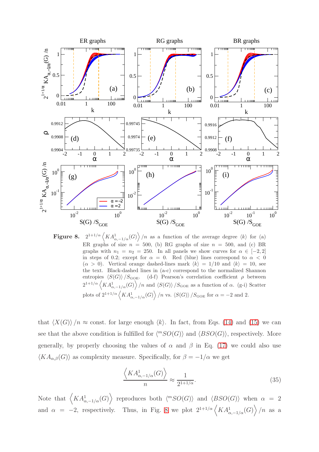<span id="page-15-0"></span>

Figure 8. 2  $\frac{1+1}{\alpha} \left\langle KA_{\alpha,-1/\alpha}^1(G) \right\rangle/n$  as a function of the average degree  $\langle k \rangle$  for (a) ER graphs of size  $n = 500$ , (b) RG graphs of size  $n = 500$ , and (c) BR graphs with  $n_1 = n_2 = 250$ . In all panels we show curves for  $\alpha \in [-2, 2]$ in steps of 0.2; except for  $\alpha = 0$ . Red (blue) lines correspond to  $\alpha < 0$  $(\alpha > 0)$ . Vertical orange dashed-lines mark  $\langle k \rangle = 1/10$  and  $\langle k \rangle = 10$ , see the text. Black-dashed lines in (a-c) correspond to the normalized Shannon entropies  $\langle S(G) \rangle / S_{GOE}$ . (d-f) Pearson's correlation coefficient  $\rho$  between  $2^{1+1/\alpha} \langle K A^1_{\alpha,-1/\alpha}(G) \rangle /n$  and  $\langle S(G) \rangle /S_{GOE}$  as a function of  $\alpha$ . (g-i) Scatter plots of  $2^{1+1/\alpha} \left\langle K A^1_{\alpha,-1/\alpha}(G) \right\rangle/n$  vs.  $\langle S(G) \rangle /S_{\text{GOE}}$  for  $\alpha = -2$  and 2.

that  $\langle X(G) \rangle /n \approx$  const. for large enough  $\langle k \rangle$ . In fact, from Eqs. [\(14\)](#page-4-5) and [\(15\)](#page-4-6) we can see that the above condition is fulfilled for  $\langle {}^{m}SO(G)\rangle$  and  $\langle BSO(G)\rangle$ , respectively. More generally, by properly choosing the values of  $\alpha$  and  $\beta$  in Eq. [\(17\)](#page-4-8) we could also use  $\langle KA_{\alpha,\beta}(G)\rangle$  as complexity measure. Specifically, for  $\beta = -1/\alpha$  we get

$$
\frac{\langle KA^1_{\alpha,-1/\alpha}(G)\rangle}{n} \approx \frac{1}{2^{1+1/\alpha}}.\tag{35}
$$

Note that  $\langle KA^1_{\alpha,-1/\alpha}(G) \rangle$  reproduces both  $\langle {}^mSO(G) \rangle$  and  $\langle BSO(G) \rangle$  when  $\alpha = 2$ and  $\alpha = -2$ , respectively. Thus, in Fig. [8](#page-15-0) we plot  $2^{1+1/\alpha} \left\langle KA_{\alpha,-1/\alpha}^1(G) \right\rangle/n$  as a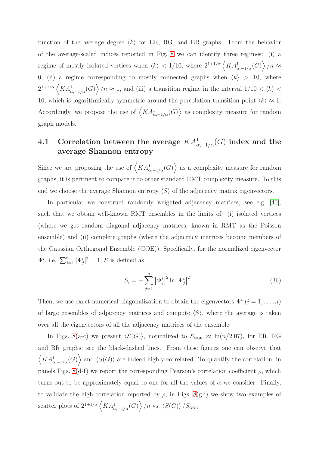function of the average degree  $\langle k \rangle$  for ER, RG, and BR graphs. From the behavior of the average-scaled indices reported in Fig. [8](#page-15-0) we can identify three regimes: (i) a regime of mostly isolated vertices when  $\langle k \rangle < 1/10$ , where  $2^{1+1/\alpha} \langle K A_{\alpha,-1/\alpha}^1(G) \rangle /n \approx$ 0, (ii) a regime corresponding to mostly connected graphs when  $\langle k \rangle > 10$ , where  $2^{1+1/\alpha} \langle K A_{\alpha,-1/\alpha}^1(G) \rangle /n \approx 1$ , and (iii) a transition regime in the interval  $1/10 \langle k \rangle \langle k \rangle$ 10, which is logarithmically symmetric around the percolation transition point  $\langle k \rangle \approx 1$ . Accordingly, we propose the use of  $\langle KA^1_{\alpha,-1/\alpha}(G) \rangle$  as complexity measure for random graph models.

## 4.1 Correlation between the average  $KA_{\alpha,-1/\alpha}^1(G)$  index and the average Shannon entropy

Since we are proposing the use of  $\langle KA^1_{\alpha,-1/\alpha}(G) \rangle$  as a complexity measure for random graphs, it is pertinent to compare it to other standard RMT complexity measure. To this end we choose the average Shannon entropy  $\langle S \rangle$  of the adjacency matrix eigenvectors.

In particular we construct randomly weighted adjacency matrices, see e.g. [\[40\]](#page-20-11), such that we obtain well-known RMT ensembles in the limits of: (i) isolated vertices (where we get random diagonal adjacency matrices, known in RMT as the Poisson ensemble) and (ii) complete graphs (where the adjacency matrices become members of the Gaussian Orthogonal Ensemble (GOE)). Specifically, for the normalized eigenvector  $\Psi^i$ , i.e.  $\sum_{j=1}^n |\Psi_j^i|^2 = 1$ , S is defined as

$$
S_i = -\sum_{j=1}^{n} |\Psi_j^i|^2 \ln |\Psi_j^i|^2 \tag{36}
$$

Then, we use exact numerical diagonalization to obtain the eigenvectors  $\Psi^i$   $(i = 1, \ldots, n)$ of large ensembles of adjacency matrices and compute  $\langle S \rangle$ , where the average is taken over all the eigenvectors of all the adjacency matrices of the ensemble.

In Figs. [8\(](#page-15-0)a-c) we present  $\langle S(G) \rangle$ , normalized to  $S_{GOE} \approx \ln(n/2.07)$ , for ER, RG and BR graphs; see the black-dashed lines. From these figures one can observe that  $\langle KA^1_{\alpha,-1/\alpha}(G) \rangle$  and  $\langle S(G) \rangle$  are indeed highly correlated. To quantify the correlation, in panels Figs. [8\(](#page-15-0)d-f) we report the corresponding Pearson's correlation coefficient  $\rho$ , which turns out to be approximately equal to one for all the values of  $\alpha$  we consider. Finally, to validate the high correlation reported by  $\rho$ , in Figs. [8\(](#page-15-0)g-i) we show two examples of scatter plots of  $2^{1+1/\alpha} \langle KA^1_{\alpha,-1/\alpha}(G) \rangle/n$  vs.  $\langle S(G) \rangle /S_{\text{\text{GOE}}}.$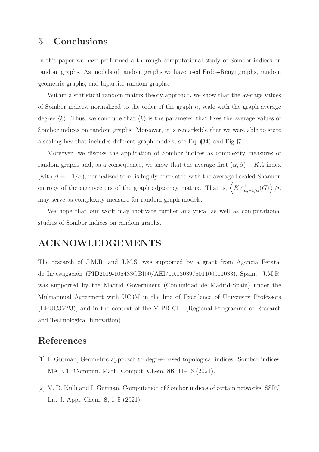## 5 Conclusions

In this paper we have performed a thorough computational study of Sombor indices on random graphs. As models of random graphs we have used Erdös-Rényi graphs, random geometric graphs, and bipartite random graphs.

Within a statistical random matrix theory approach, we show that the average values of Sombor indices, normalized to the order of the graph  $n$ , scale with the graph average degree  $\langle k \rangle$ . Thus, we conclude that  $\langle k \rangle$  is the parameter that fixes the average values of Sombor indices on random graphs. Moreover, it is remarkable that we were able to state a scaling law that includes different graph models; see Eq. [\(34\)](#page-13-0) and Fig. [7.](#page-13-1)

Moreover, we discuss the application of Sombor indices as complexity measures of random graphs and, as a consequence, we show that the average first  $(\alpha, \beta) - KA$  index (with  $\beta = -1/\alpha$ ), normalized to n, is highly correlated with the averaged-scaled Shannon entropy of the eigenvectors of the graph adjacency matrix. That is,  $\langle KA_{\alpha,-1/\alpha}^1(G) \rangle/n$ may serve as complexity measure for random graph models.

We hope that our work may motivate further analytical as well as computational studies of Sombor indices on random graphs.

### ACKNOWLEDGEMENTS

The research of J.M.R. and J.M.S. was supported by a grant from Agencia Estatal de Investigación (PID2019-106433GBI00/AEI/10.13039/501100011033), Spain. J.M.R. was supported by the Madrid Government (Comunidad de Madrid-Spain) under the Multiannual Agreement with UC3M in the line of Excellence of University Professors (EPUC3M23), and in the context of the V PRICIT (Regional Programme of Research and Technological Innovation).

### <span id="page-17-0"></span>References

- <span id="page-17-1"></span>[1] I. Gutman, Geometric approach to degree-based topological indices: Sombor indices. MATCH Commun. Math. Comput. Chem. 86, 11–16 (2021).
- [2] V. R. Kulli and I. Gutman, Computation of Sombor indices of certain networks, SSRG Int. J. Appl. Chem. 8, 1–5 (2021).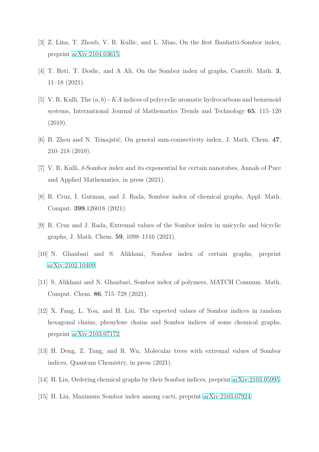- <span id="page-18-1"></span><span id="page-18-0"></span>[3] Z. Lina, T. Zhoub, V. R. Kullic, and L. Miao, On the first Banhatti-Sombor index, preprint [arXiv:2104.03615.](http://arxiv.org/abs/2104.03615)
- <span id="page-18-2"></span>[4] T. Reti, T. Doslic, and A Ali, On the Sombor index of graphs, Contrib. Math. 3, 11–18 (2021).
- [5] V. R. Kulli, The (a, b)−KA indices of polycyclic aromatic hydrocarbons and benzenoid systems, International Journal of Mathematics Trends and Technology 65, 115–120 (2019).
- <span id="page-18-4"></span><span id="page-18-3"></span>[6] B. Zhou and N. Trinajstić, On general sum-connectivity index, J. Math. Chem. 47, 210–218 (2010).
- [7] V. R. Kulli,  $\delta$ -Sombor index and its exponential for certain nanotubes, Annals of Pure and Applied Mathematics, in press (2021).
- [8] R. Cruz, I. Gutman, and J. Rada, Sombor index of chemical graphs, Appl. Math. Comput. 399,126018 (2021).
- <span id="page-18-5"></span>[9] R. Cruz and J. Rada, Extremal values of the Sombor index in unicyclic and bicyclic graphs, J. Math. Chem. 59, 1098–1116 (2021).
- [10] N. Ghanbari and S. Alikhani, Sombor index of certain graphs, preprint [arXiv:2102.10409.](http://arxiv.org/abs/2102.10409)
- [11] S. Alikhani and N. Ghanbari, Sombor index of polymers, MATCH Commun. Math. Comput. Chem. 86, 715–728 (2021).
- [12] X. Fang, L. You, and H. Liu, The expected values of Sombor indices in random hexagonal chains, phenylene chains and Sombor indices of some chemical graphs, preprint [arXiv:2103.07172.](http://arxiv.org/abs/2103.07172)
- [13] H. Deng, Z. Tang, and R. Wu, Molecular trees with extremal values of Sombor indices, Quantum Chemistry, in press (2021).
- [14] H. Liu, Ordering chemical graphs by their Sombor indices, preprint [arXiv:2103.05995.](http://arxiv.org/abs/2103.05995)
- [15] H. Liu, Maximum Sombor index among cacti, preprint [arXiv:2103.07924.](http://arxiv.org/abs/2103.07924)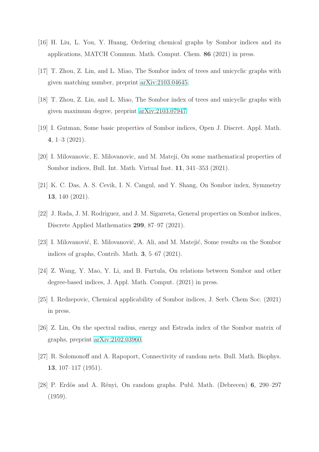- [16] H. Liu, L. You, Y. Huang, Ordering chemical graphs by Sombor indices and its applications, MATCH Commun. Math. Comput. Chem. 86 (2021) in press.
- <span id="page-19-0"></span>[17] T. Zhou, Z. Lin, and L. Miao, The Sombor index of trees and unicyclic graphs with given matching number, preprint [arXiv:2103.04645.](http://arxiv.org/abs/2103.04645)
- <span id="page-19-1"></span>[18] T. Zhou, Z. Lin, and L. Miao, The Sombor index of trees and unicyclic graphs with given maximum degree, preprint [arXiv:2103.07947.](http://arxiv.org/abs/2103.07947)
- [19] I. Gutman, Some basic properties of Sombor indices, Open J. Discret. Appl. Math. 4, 1–3 (2021).
- <span id="page-19-6"></span>[20] I. Milovanovic, E. Milovanovic, and M. Mateji, On some mathematical properties of Sombor indices, Bull. Int. Math. Virtual Inst. 11, 341–353 (2021).
- [21] K. C. Das, A. S. Cevik, I. N. Cangul, and Y. Shang, On Sombor index, Symmetry 13, 140 (2021).
- [22] J. Rada, J. M. Rodriguez, and J. M. Sigarreta, General properties on Sombor indices, Discrete Applied Mathematics 299, 87–97 (2021).
- <span id="page-19-2"></span>[23] I. Milovanović, E. Milovanović, A. Ali, and M. Matejić, Some results on the Sombor indices of graphs, Contrib. Math. 3, 5–67 (2021).
- <span id="page-19-3"></span>[24] Z. Wang, Y. Mao, Y. Li, and B. Furtula, On relations between Sombor and other degree-based indices, J. Appl. Math. Comput. (2021) in press.
- <span id="page-19-4"></span>[25] I. Redzepovic, Chemical applicability of Sombor indices, J. Serb. Chem Soc. (2021) in press.
- <span id="page-19-5"></span>[26] Z. Lin, On the spectral radius, energy and Estrada index of the Sombor matrix of graphs, preprint [arXiv:2102.03960.](http://arxiv.org/abs/2102.03960)
- [27] R. Solomonoff and A. Rapoport, Connectivity of random nets. Bull. Math. Biophys. 13, 107–117 (1951).
- [28] P. Erdös and A. Rényi, On random graphs. Publ. Math. (Debrecen) 6, 290–297 (1959).